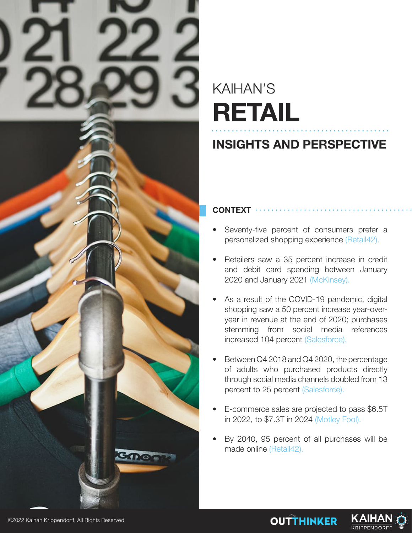

# KAIHAN'S **RETAIL**

## **INSIGHTS AND PERSPECTIVE**

### **CONTEXT**

- Seventy-five percent of consumers prefer a personalized shopping experience (Retail42).
- Retailers saw a 35 percent increase in credit and debit card spending between January 2020 and January 2021 (McKinsey).
- As a result of the COVID-19 pandemic, digital shopping saw a 50 percent increase year-overyear in revenue at the end of 2020; purchases stemming from social media references increased 104 percent (Salesforce).
- Between Q4 2018 and Q4 2020, the percentage of adults who purchased products directly through social media channels doubled from 13 percent to 25 percent (Salesforce).
- E-commerce sales are projected to pass \$6.5T in 2022, to \$7.3T in 2024 (Motley Fool).
- By 2040, 95 percent of all purchases will be made online (Retail42).



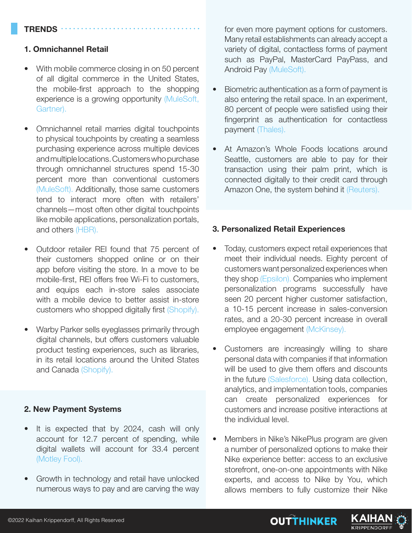#### **TRENDS**

#### **1. Omnichannel Retail**

- With mobile commerce closing in on 50 percent of all digital commerce in the United States, the mobile-first approach to the shopping experience is a growing opportunity (MuleSoft, Gartner).
- Omnichannel retail marries digital touchpoints to physical touchpoints by creating a seamless purchasing experience across multiple devices and multiple locations. Customers who purchase through omnichannel structures spend 15-30 percent more than conventional customers (MuleSoft). Additionally, those same customers tend to interact more often with retailers' channels—most often other digital touchpoints like mobile applications, personalization portals, and others (HBR).
- Outdoor retailer REI found that 75 percent of their customers shopped online or on their app before visiting the store. In a move to be mobile-first, REI offers free Wi-Fi to customers, and equips each in-store sales associate with a mobile device to better assist in-store customers who shopped digitally first (Shopify).
- Warby Parker sells eyeglasses primarily through digital channels, but offers customers valuable product testing experiences, such as libraries, in its retail locations around the United States and Canada (Shopify).

#### **2. New Payment Systems**

- It is expected that by 2024, cash will only account for 12.7 percent of spending, while digital wallets will account for 33.4 percent (Motley Fool).
- Growth in technology and retail have unlocked numerous ways to pay and are carving the way

for even more payment options for customers. Many retail establishments can already accept a variety of digital, contactless forms of payment such as PayPal, MasterCard PayPass, and Android Pay (MuleSoft).

- Biometric authentication as a form of payment is also entering the retail space. In an experiment, 80 percent of people were satisfied using their fingerprint as authentication for contactless payment (Thales).
- At Amazon's Whole Foods locations around Seattle, customers are able to pay for their transaction using their palm print, which is connected digitally to their credit card through Amazon One, the system behind it (Reuters).

#### **3. Personalized Retail Experiences**

- Today, customers expect retail experiences that meet their individual needs. Eighty percent of customers want personalized experiences when they shop (Epsilon). Companies who implement personalization programs successfully have seen 20 percent higher customer satisfaction, a 10-15 percent increase in sales-conversion rates, and a 20-30 percent increase in overall employee engagement (McKinsey).
- Customers are increasingly willing to share personal data with companies if that information will be used to give them offers and discounts in the future (Salesforce). Using data collection, analytics, and implementation tools, companies can create personalized experiences for customers and increase positive interactions at the individual level.
- Members in Nike's NikePlus program are given a number of personalized options to make their Nike experience better: access to an exclusive storefront, one-on-one appointments with Nike experts, and access to Nike by You, which allows members to fully customize their Nike



**KRIPPENDORFI**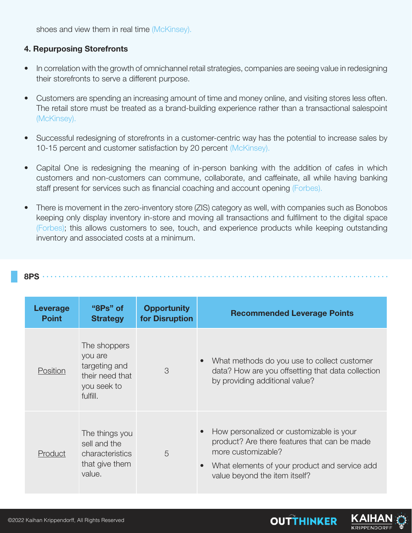shoes and view them in real time (McKinsey).

#### **4. Repurposing Storefronts**

- In correlation with the growth of omnichannel retail strategies, companies are seeing value in redesigning their storefronts to serve a different purpose.
- Customers are spending an increasing amount of time and money online, and visiting stores less often. The retail store must be treated as a brand-building experience rather than a transactional salespoint (McKinsey).
- Successful redesigning of storefronts in a customer-centric way has the potential to increase sales by 10-15 percent and customer satisfaction by 20 percent (McKinsey).
- Capital One is redesigning the meaning of in-person banking with the addition of cafes in which customers and non-customers can commune, collaborate, and caffeinate, all while having banking staff present for services such as financial coaching and account opening (Forbes).
- There is movement in the zero-inventory store (ZIS) category as well, with companies such as Bonobos keeping only display inventory in-store and moving all transactions and fulfilment to the digital space (Forbes); this allows customers to see, touch, and experience products while keeping outstanding inventory and associated costs at a minimum.

| ۰,<br>$\overline{\phantom{a}}$<br>$\sim$ |
|------------------------------------------|
|------------------------------------------|

| Leverage<br><b>Point</b> | "8Ps" of<br><b>Strategy</b>                                                            | <b>Opportunity</b><br>for Disruption | <b>Recommended Leverage Points</b>                                                                                                                                                                            |
|--------------------------|----------------------------------------------------------------------------------------|--------------------------------------|---------------------------------------------------------------------------------------------------------------------------------------------------------------------------------------------------------------|
| Position                 | The shoppers<br>you are<br>targeting and<br>their need that<br>you seek to<br>fulfill. | 3                                    | What methods do you use to collect customer<br>$\bullet$<br>data? How are you offsetting that data collection<br>by providing additional value?                                                               |
| Product                  | The things you<br>sell and the<br>characteristics<br>that give them<br>value.          | 5                                    | How personalized or customizable is your<br>product? Are there features that can be made<br>more customizable?<br>What elements of your product and service add<br>$\bullet$<br>value beyond the item itself? |

**OUTTHINKER**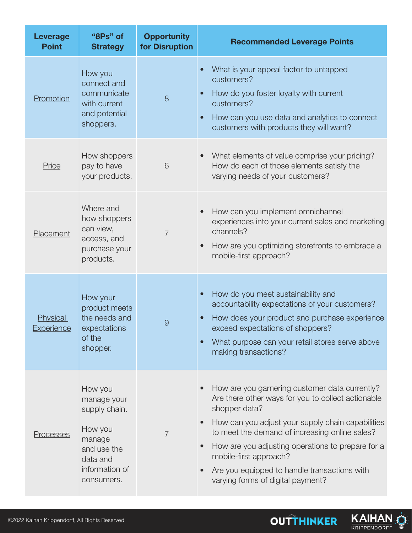| <b>Leverage</b><br><b>Point</b> | "8Ps" of<br><b>Strategy</b>                                                                                             | <b>Opportunity</b><br>for Disruption | <b>Recommended Leverage Points</b>                                                                                                                                                                                                                                                                                                                                                               |
|---------------------------------|-------------------------------------------------------------------------------------------------------------------------|--------------------------------------|--------------------------------------------------------------------------------------------------------------------------------------------------------------------------------------------------------------------------------------------------------------------------------------------------------------------------------------------------------------------------------------------------|
| Promotion                       | How you<br>connect and<br>communicate<br>with current<br>and potential<br>shoppers.                                     | 8                                    | What is your appeal factor to untapped<br>customers?<br>How do you foster loyalty with current<br>customers?<br>How can you use data and analytics to connect<br>$\bullet$<br>customers with products they will want?                                                                                                                                                                            |
| Price                           | How shoppers<br>pay to have<br>your products.                                                                           | 6                                    | What elements of value comprise your pricing?<br>How do each of those elements satisfy the<br>varying needs of your customers?                                                                                                                                                                                                                                                                   |
| Placement                       | Where and<br>how shoppers<br>can view,<br>access, and<br>purchase your<br>products.                                     | $\overline{7}$                       | How can you implement omnichannel<br>experiences into your current sales and marketing<br>channels?<br>How are you optimizing storefronts to embrace a<br>mobile-first approach?                                                                                                                                                                                                                 |
| Physical<br>Experience          | How your<br>product meets<br>the needs and<br>expectations<br>of the<br>shopper.                                        | 9                                    | How do you meet sustainability and<br>$\bullet$<br>accountability expectations of your customers?<br>How does your product and purchase experience<br>exceed expectations of shoppers?<br>What purpose can your retail stores serve above<br>making transactions?                                                                                                                                |
| Processes                       | How you<br>manage your<br>supply chain.<br>How you<br>manage<br>and use the<br>data and<br>information of<br>consumers. | $\overline{7}$                       | How are you garnering customer data currently?<br>Are there other ways for you to collect actionable<br>shopper data?<br>How can you adjust your supply chain capabilities<br>to meet the demand of increasing online sales?<br>How are you adjusting operations to prepare for a<br>mobile-first approach?<br>Are you equipped to handle transactions with<br>varying forms of digital payment? |

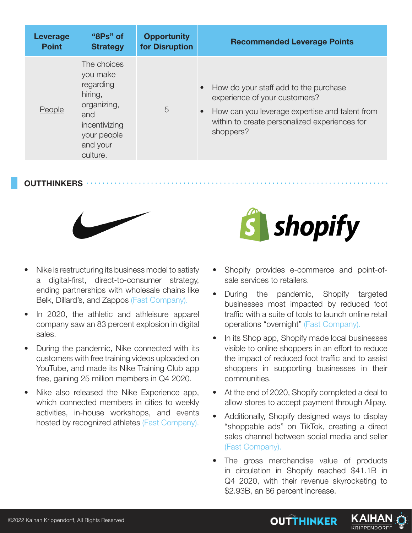| Leverage     | "8Ps" of                                                                                                                      | <b>Opportunity</b> | <b>Recommended Leverage Points</b>                                                                                                                                                                               |
|--------------|-------------------------------------------------------------------------------------------------------------------------------|--------------------|------------------------------------------------------------------------------------------------------------------------------------------------------------------------------------------------------------------|
| <b>Point</b> | <b>Strategy</b>                                                                                                               | for Disruption     |                                                                                                                                                                                                                  |
| People       | The choices<br>you make<br>regarding<br>hiring,<br>organizing,<br>and<br>incentivizing<br>your people<br>and your<br>culture. | 5                  | How do your staff add to the purchase<br>$\bullet$<br>experience of your customers?<br>How can you leverage expertise and talent from<br>$\bullet$<br>within to create personalized experiences for<br>shoppers? |

**OUTTHINKERS**



- Nike is restructuring its business model to satisfy a digital-first, direct-to-consumer strategy, ending partnerships with wholesale chains like Belk, Dillard's, and Zappos (Fast Company).
- In 2020, the athletic and athleisure apparel company saw an 83 percent explosion in digital sales.
- During the pandemic, Nike connected with its customers with free training videos uploaded on YouTube, and made its Nike Training Club app free, gaining 25 million members in Q4 2020.
- Nike also released the Nike Experience app, which connected members in cities to weekly activities, in-house workshops, and events hosted by recognized athletes (Fast Company).



- Shopify provides e-commerce and point-ofsale services to retailers.
- During the pandemic, Shopify targeted businesses most impacted by reduced foot traffic with a suite of tools to launch online retail operations "overnight" (Fast Company).
- In its Shop app, Shopify made local businesses visible to online shoppers in an effort to reduce the impact of reduced foot traffic and to assist shoppers in supporting businesses in their communities.
- At the end of 2020, Shopify completed a deal to allow stores to accept payment through Alipay.
- Additionally, Shopify designed ways to display "shoppable ads" on TikTok, creating a direct sales channel between social media and seller (Fast Company).
- The gross merchandise value of products in circulation in Shopify reached \$41.1B in Q4 2020, with their revenue skyrocketing to \$2.93B, an 86 percent increase.

**OUTTHINKER** 

**KRIPPENDORF**